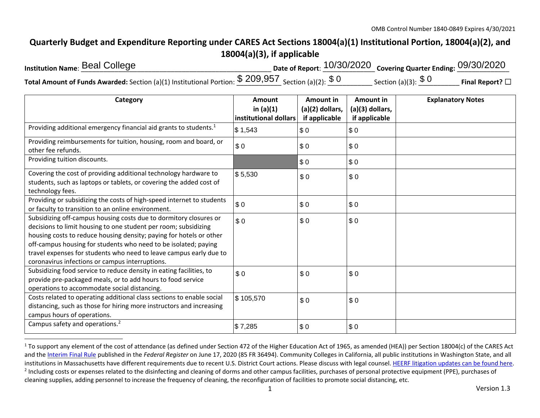## **Quarterly Budget and Expenditure Reporting under CARES Act Sections 18004(a)(1) Institutional Portion, 18004(a)(2), and 18004(a)(3), if applicable**

| <b>Institution Name: Beal College</b>                                                                | Date of Report: $10/30/2020$ Covering Quarter Ending: $09/30/2020$ |                          |                 |
|------------------------------------------------------------------------------------------------------|--------------------------------------------------------------------|--------------------------|-----------------|
| Total Amount of Funds Awarded: Section (a)(1) Institutional Portion: $$209,957$ Section (a)(2): $$0$ |                                                                    | Section (a)(3): $\$$ $0$ | Final Report? □ |

| Category                                                                                                                                                                                                                                                                                                                                                                                                | Amount<br>in $(a)(1)$<br>institutional dollars | Amount in<br>(a)(2) dollars,<br>if applicable | Amount in<br>(a)(3) dollars,<br>if applicable | <b>Explanatory Notes</b> |
|---------------------------------------------------------------------------------------------------------------------------------------------------------------------------------------------------------------------------------------------------------------------------------------------------------------------------------------------------------------------------------------------------------|------------------------------------------------|-----------------------------------------------|-----------------------------------------------|--------------------------|
| Providing additional emergency financial aid grants to students. <sup>1</sup>                                                                                                                                                                                                                                                                                                                           | $\frac{1}{3}$ 1,543                            | \$0                                           | \$0                                           |                          |
| Providing reimbursements for tuition, housing, room and board, or<br>other fee refunds.                                                                                                                                                                                                                                                                                                                 | \$0                                            | \$0                                           | \$0                                           |                          |
| Providing tuition discounts.                                                                                                                                                                                                                                                                                                                                                                            |                                                | \$0                                           | \$0                                           |                          |
| Covering the cost of providing additional technology hardware to<br>students, such as laptops or tablets, or covering the added cost of<br>technology fees.                                                                                                                                                                                                                                             | \$5,530                                        | \$0                                           | \$0                                           |                          |
| Providing or subsidizing the costs of high-speed internet to students<br>or faculty to transition to an online environment.                                                                                                                                                                                                                                                                             | \$0                                            | \$0                                           | \$0                                           |                          |
| Subsidizing off-campus housing costs due to dormitory closures or<br>decisions to limit housing to one student per room; subsidizing<br>housing costs to reduce housing density; paying for hotels or other<br>off-campus housing for students who need to be isolated; paying<br>travel expenses for students who need to leave campus early due to<br>coronavirus infections or campus interruptions. | \$0                                            | \$0                                           | \$0                                           |                          |
| Subsidizing food service to reduce density in eating facilities, to<br>provide pre-packaged meals, or to add hours to food service<br>operations to accommodate social distancing.                                                                                                                                                                                                                      | \$0                                            | \$0                                           | \$0                                           |                          |
| Costs related to operating additional class sections to enable social<br>distancing, such as those for hiring more instructors and increasing<br>campus hours of operations.                                                                                                                                                                                                                            | \$105,570                                      | \$0                                           | \$0                                           |                          |
| Campus safety and operations. <sup>2</sup>                                                                                                                                                                                                                                                                                                                                                              | \$7,285                                        | \$0                                           | \$0                                           |                          |

 $1$  To support any element of the cost of attendance (as defined under Section 472 of the Higher Education Act of 1965, as amended (HEA)) per Section 18004(c) of the CARES Act and the Interim Final Rule published in the *Federal Register* on June 17, 2020 (85 FR 36494). Community Colleges in California, all public institutions in Washington State, and all institutions in Massachusetts have different requirements due to recent U.S. District Court actions. Please discuss with legal counsel. HEERF litigation updates can be found here. <sup>2</sup> Including costs or expenses related to the disinfecting and cleaning of dorms and other campus facilities, purchases of personal protective equipment (PPE), purchases of cleaning supplies, adding personnel to increase the frequency of cleaning, the reconfiguration of facilities to promote social distancing, etc.